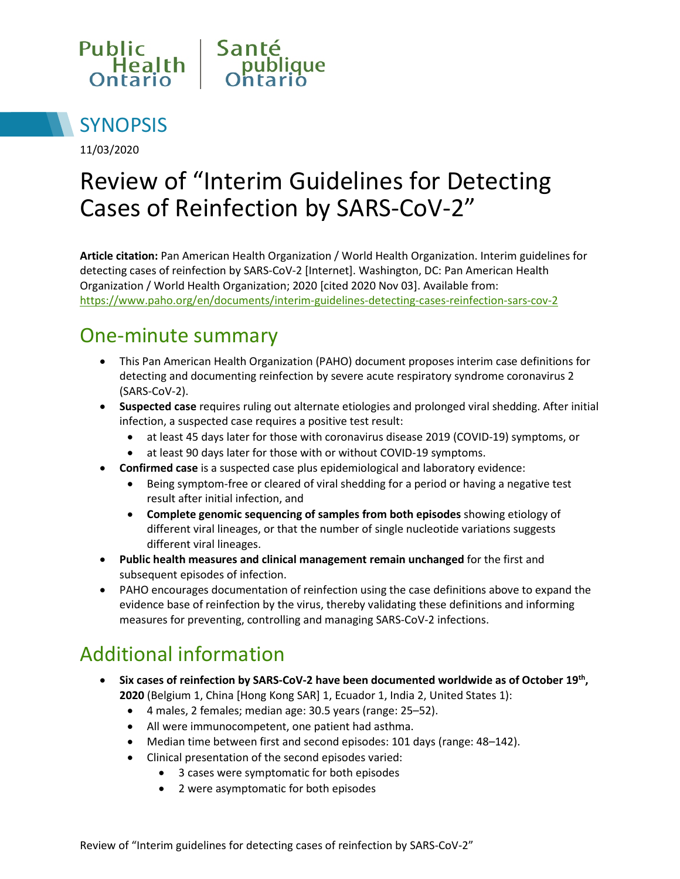



11/03/2020

# Review of "Interim Guidelines for Detecting Cases of Reinfection by SARS-CoV-2"

**Article citation:** Pan American Health Organization / World Health Organization. Interim guidelines for detecting cases of reinfection by SARS-CoV-2 [Internet]. Washington, DC: Pan American Health Organization / World Health Organization; 2020 [cited 2020 Nov 03]. Available from: <https://www.paho.org/en/documents/interim-guidelines-detecting-cases-reinfection-sars-cov-2>

#### One-minute summary

- This Pan American Health Organization (PAHO) document proposes interim case definitions for detecting and documenting reinfection by severe acute respiratory syndrome coronavirus 2 (SARS-CoV-2).
- **Suspected case** requires ruling out alternate etiologies and prolonged viral shedding. After initial infection, a suspected case requires a positive test result:
	- at least 45 days later for those with coronavirus disease 2019 (COVID-19) symptoms, or
	- at least 90 days later for those with or without COVID-19 symptoms.
- **Confirmed case** is a suspected case plus epidemiological and laboratory evidence:
	- Being symptom-free or cleared of viral shedding for a period or having a negative test result after initial infection, and
	- **Complete genomic sequencing of samples from both episodes** showing etiology of different viral lineages, or that the number of single nucleotide variations suggests different viral lineages.
- **Public health measures and clinical management remain unchanged** for the first and subsequent episodes of infection.
- PAHO encourages documentation of reinfection using the case definitions above to expand the evidence base of reinfection by the virus, thereby validating these definitions and informing measures for preventing, controlling and managing SARS-CoV-2 infections.

# Additional information

- **Six cases of reinfection by SARS-CoV-2 have been documented worldwide as of October 19th, 2020** (Belgium 1, China [Hong Kong SAR] 1, Ecuador 1, India 2, United States 1):
	- 4 males, 2 females; median age: 30.5 years (range: 25–52).
	- All were immunocompetent, one patient had asthma.
	- Median time between first and second episodes: 101 days (range: 48–142).
	- Clinical presentation of the second episodes varied:
		- 3 cases were symptomatic for both episodes
		- 2 were asymptomatic for both episodes

Review of "Interim guidelines for detecting cases of reinfection by SARS-CoV-2"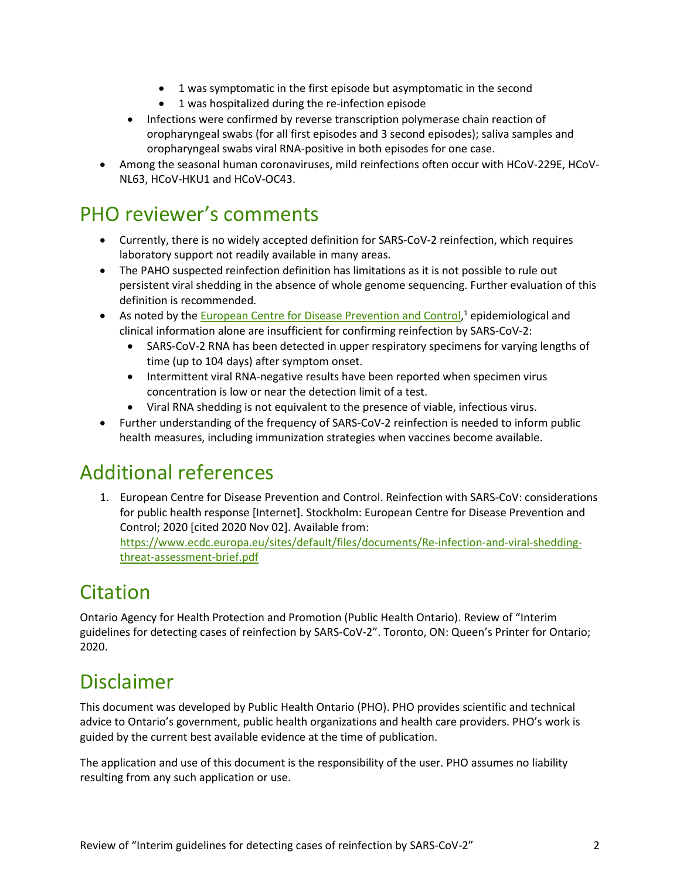- 1 was symptomatic in the first episode but asymptomatic in the second
- 1 was hospitalized during the re-infection episode
- Infections were confirmed by reverse transcription polymerase chain reaction of oropharyngeal swabs (for all first episodes and 3 second episodes); saliva samples and oropharyngeal swabs viral RNA-positive in both episodes for one case.
- Among the seasonal human coronaviruses, mild reinfections often occur with HCoV-229E, HCoV-NL63, HCoV-HKU1 and HCoV-OC43.

#### PHO reviewer's comments

- Currently, there is no widely accepted definition for SARS-CoV-2 reinfection, which requires laboratory support not readily available in many areas.
- The PAHO suspected reinfection definition has limitations as it is not possible to rule out persistent viral shedding in the absence of whole genome sequencing. Further evaluation of this definition is recommended.
- As noted by the **European Centre for Disease Prevention and Control**,<sup>1</sup> epidemiological and clinical information alone are insufficient for confirming reinfection by SARS-CoV-2:
	- SARS-CoV-2 RNA has been detected in upper respiratory specimens for varying lengths of time (up to 104 days) after symptom onset.
	- Intermittent viral RNA-negative results have been reported when specimen virus concentration is low or near the detection limit of a test.
	- Viral RNA shedding is not equivalent to the presence of viable, infectious virus.
- Further understanding of the frequency of SARS-CoV-2 reinfection is needed to inform public health measures, including immunization strategies when vaccines become available.

# Additional references

1. European Centre for Disease Prevention and Control. Reinfection with SARS-CoV: considerations for public health response [Internet]. Stockholm: European Centre for Disease Prevention and Control; 2020 [cited 2020 Nov 02]. Available from: [https://www.ecdc.europa.eu/sites/default/files/documents/Re-infection-and-viral-shedding](https://www.ecdc.europa.eu/sites/default/files/documents/Re-infection-and-viral-shedding-threat-assessment-brief.pdf)[threat-assessment-brief.pdf](https://www.ecdc.europa.eu/sites/default/files/documents/Re-infection-and-viral-shedding-threat-assessment-brief.pdf) 

# Citation

Ontario Agency for Health Protection and Promotion (Public Health Ontario). Review of "Interim guidelines for detecting cases of reinfection by SARS-CoV-2". Toronto, ON: Queen's Printer for Ontario; 2020.

#### Disclaimer

This document was developed by Public Health Ontario (PHO). PHO provides scientific and technical advice to Ontario's government, public health organizations and health care providers. PHO's work is guided by the current best available evidence at the time of publication.

The application and use of this document is the responsibility of the user. PHO assumes no liability resulting from any such application or use.